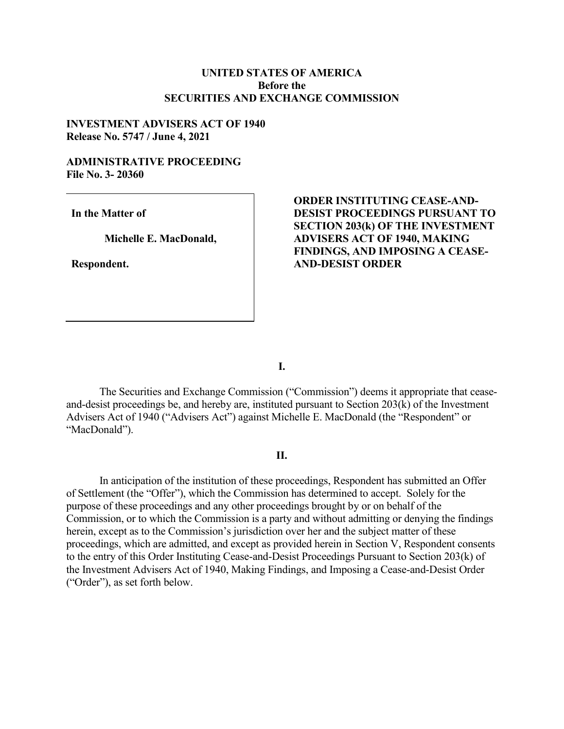### **UNITED STATES OF AMERICA Before the SECURITIES AND EXCHANGE COMMISSION**

### **INVESTMENT ADVISERS ACT OF 1940 Release No. 5747 / June 4, 2021**

#### **ADMINISTRATIVE PROCEEDING File No. 3- 20360**

**In the Matter of**

**Michelle E. MacDonald,**

**Respondent.**

# **ORDER INSTITUTING CEASE-AND-DESIST PROCEEDINGS PURSUANT TO SECTION 203(k) OF THE INVESTMENT ADVISERS ACT OF 1940, MAKING FINDINGS, AND IMPOSING A CEASE-AND-DESIST ORDER**

**I.**

The Securities and Exchange Commission ("Commission") deems it appropriate that ceaseand-desist proceedings be, and hereby are, instituted pursuant to Section 203(k) of the Investment Advisers Act of 1940 ("Advisers Act") against Michelle E. MacDonald (the "Respondent" or "MacDonald").

#### **II.**

In anticipation of the institution of these proceedings, Respondent has submitted an Offer of Settlement (the "Offer"), which the Commission has determined to accept. Solely for the purpose of these proceedings and any other proceedings brought by or on behalf of the Commission, or to which the Commission is a party and without admitting or denying the findings herein, except as to the Commission's jurisdiction over her and the subject matter of these proceedings, which are admitted, and except as provided herein in Section V, Respondent consents to the entry of this Order Instituting Cease-and-Desist Proceedings Pursuant to Section 203(k) of the Investment Advisers Act of 1940, Making Findings, and Imposing a Cease-and-Desist Order ("Order"), as set forth below.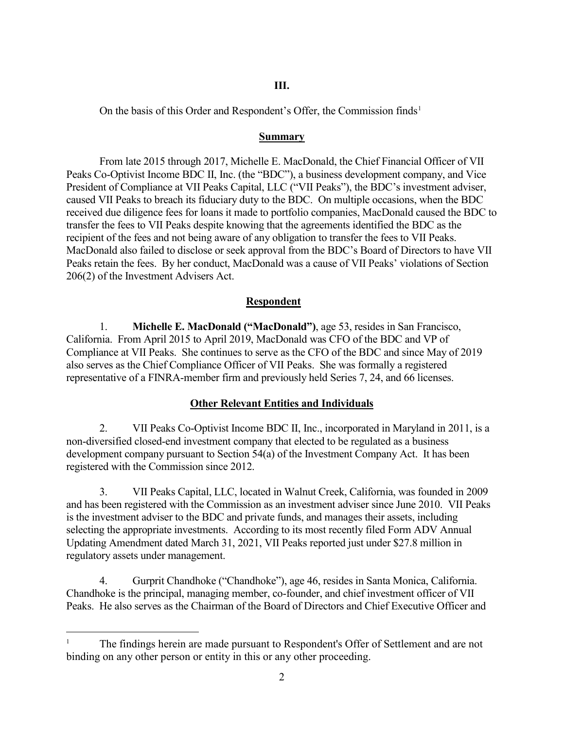## **III.**

On the basis of this Order and Respondent's Offer, the Commission finds<sup>[1](#page-1-0)</sup>

### **Summary**

From late 2015 through 2017, Michelle E. MacDonald, the Chief Financial Officer of VII Peaks Co-Optivist Income BDC II, Inc. (the "BDC"), a business development company, and Vice President of Compliance at VII Peaks Capital, LLC ("VII Peaks"), the BDC's investment adviser, caused VII Peaks to breach its fiduciary duty to the BDC. On multiple occasions, when the BDC received due diligence fees for loans it made to portfolio companies, MacDonald caused the BDC to transfer the fees to VII Peaks despite knowing that the agreements identified the BDC as the recipient of the fees and not being aware of any obligation to transfer the fees to VII Peaks. MacDonald also failed to disclose or seek approval from the BDC's Board of Directors to have VII Peaks retain the fees. By her conduct, MacDonald was a cause of VII Peaks' violations of Section 206(2) of the Investment Advisers Act.

# **Respondent**

1. **Michelle E. MacDonald ("MacDonald")**, age 53, resides in San Francisco, California. From April 2015 to April 2019, MacDonald was CFO of the BDC and VP of Compliance at VII Peaks. She continues to serve as the CFO of the BDC and since May of 2019 also serves as the Chief Compliance Officer of VII Peaks. She was formally a registered representative of a FINRA-member firm and previously held Series 7, 24, and 66 licenses.

# **Other Relevant Entities and Individuals**

2. VII Peaks Co-Optivist Income BDC II, Inc., incorporated in Maryland in 2011, is a non-diversified closed-end investment company that elected to be regulated as a business development company pursuant to Section 54(a) of the Investment Company Act. It has been registered with the Commission since 2012.

3. VII Peaks Capital, LLC, located in Walnut Creek, California, was founded in 2009 and has been registered with the Commission as an investment adviser since June 2010. VII Peaks is the investment adviser to the BDC and private funds, and manages their assets, including selecting the appropriate investments. According to its most recently filed Form ADV Annual Updating Amendment dated March 31, 2021, VII Peaks reported just under \$27.8 million in regulatory assets under management.

4. Gurprit Chandhoke ("Chandhoke"), age 46, resides in Santa Monica, California. Chandhoke is the principal, managing member, co-founder, and chief investment officer of VII Peaks. He also serves as the Chairman of the Board of Directors and Chief Executive Officer and

<span id="page-1-0"></span> <sup>1</sup> The findings herein are made pursuant to Respondent's Offer of Settlement and are not binding on any other person or entity in this or any other proceeding.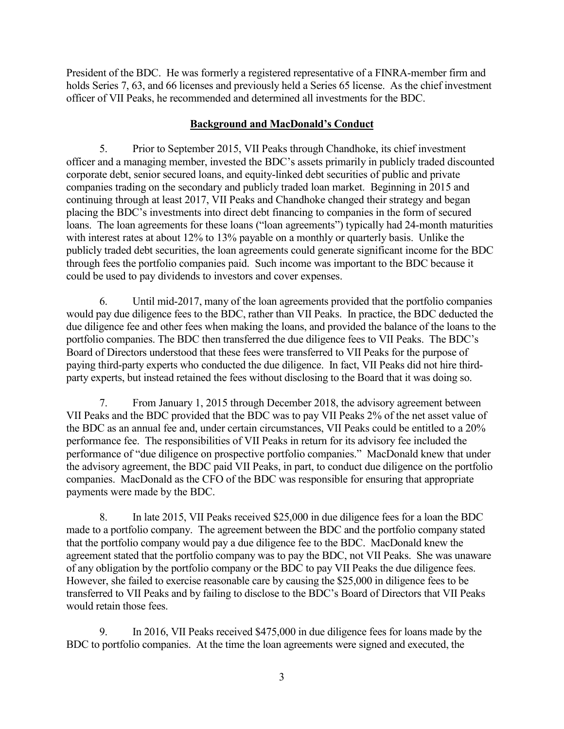President of the BDC. He was formerly a registered representative of a FINRA-member firm and holds Series 7, 63, and 66 licenses and previously held a Series 65 license. As the chief investment officer of VII Peaks, he recommended and determined all investments for the BDC.

## **Background and MacDonald's Conduct**

5. Prior to September 2015, VII Peaks through Chandhoke, its chief investment officer and a managing member, invested the BDC's assets primarily in publicly traded discounted corporate debt, senior secured loans, and equity-linked debt securities of public and private companies trading on the secondary and publicly traded loan market. Beginning in 2015 and continuing through at least 2017, VII Peaks and Chandhoke changed their strategy and began placing the BDC's investments into direct debt financing to companies in the form of secured loans. The loan agreements for these loans ("loan agreements") typically had 24-month maturities with interest rates at about 12% to 13% payable on a monthly or quarterly basis. Unlike the publicly traded debt securities, the loan agreements could generate significant income for the BDC through fees the portfolio companies paid. Such income was important to the BDC because it could be used to pay dividends to investors and cover expenses.

6. Until mid-2017, many of the loan agreements provided that the portfolio companies would pay due diligence fees to the BDC, rather than VII Peaks. In practice, the BDC deducted the due diligence fee and other fees when making the loans, and provided the balance of the loans to the portfolio companies. The BDC then transferred the due diligence fees to VII Peaks. The BDC's Board of Directors understood that these fees were transferred to VII Peaks for the purpose of paying third-party experts who conducted the due diligence. In fact, VII Peaks did not hire thirdparty experts, but instead retained the fees without disclosing to the Board that it was doing so.

7. From January 1, 2015 through December 2018, the advisory agreement between VII Peaks and the BDC provided that the BDC was to pay VII Peaks 2% of the net asset value of the BDC as an annual fee and, under certain circumstances, VII Peaks could be entitled to a 20% performance fee. The responsibilities of VII Peaks in return for its advisory fee included the performance of "due diligence on prospective portfolio companies." MacDonald knew that under the advisory agreement, the BDC paid VII Peaks, in part, to conduct due diligence on the portfolio companies. MacDonald as the CFO of the BDC was responsible for ensuring that appropriate payments were made by the BDC.

8. In late 2015, VII Peaks received \$25,000 in due diligence fees for a loan the BDC made to a portfolio company. The agreement between the BDC and the portfolio company stated that the portfolio company would pay a due diligence fee to the BDC. MacDonald knew the agreement stated that the portfolio company was to pay the BDC, not VII Peaks. She was unaware of any obligation by the portfolio company or the BDC to pay VII Peaks the due diligence fees. However, she failed to exercise reasonable care by causing the \$25,000 in diligence fees to be transferred to VII Peaks and by failing to disclose to the BDC's Board of Directors that VII Peaks would retain those fees.

9. In 2016, VII Peaks received \$475,000 in due diligence fees for loans made by the BDC to portfolio companies. At the time the loan agreements were signed and executed, the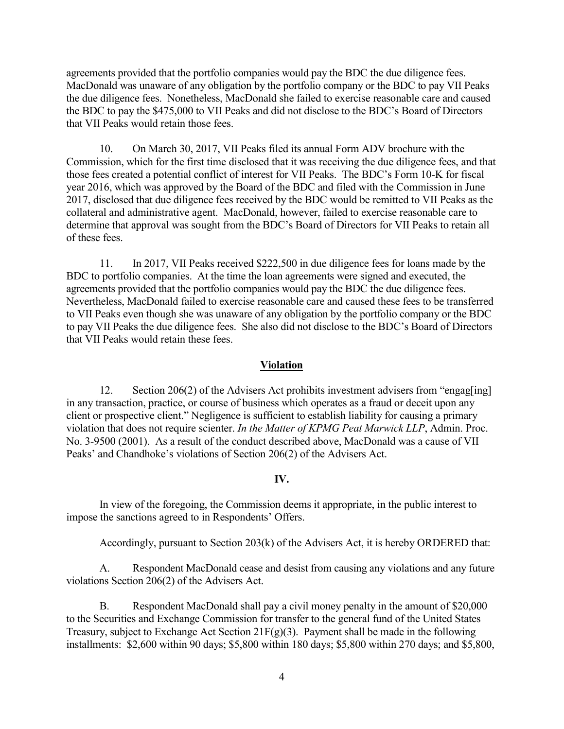agreements provided that the portfolio companies would pay the BDC the due diligence fees. MacDonald was unaware of any obligation by the portfolio company or the BDC to pay VII Peaks the due diligence fees. Nonetheless, MacDonald she failed to exercise reasonable care and caused the BDC to pay the \$475,000 to VII Peaks and did not disclose to the BDC's Board of Directors that VII Peaks would retain those fees.

10. On March 30, 2017, VII Peaks filed its annual Form ADV brochure with the Commission, which for the first time disclosed that it was receiving the due diligence fees, and that those fees created a potential conflict of interest for VII Peaks. The BDC's Form 10-K for fiscal year 2016, which was approved by the Board of the BDC and filed with the Commission in June 2017, disclosed that due diligence fees received by the BDC would be remitted to VII Peaks as the collateral and administrative agent. MacDonald, however, failed to exercise reasonable care to determine that approval was sought from the BDC's Board of Directors for VII Peaks to retain all of these fees.

11. In 2017, VII Peaks received \$222,500 in due diligence fees for loans made by the BDC to portfolio companies. At the time the loan agreements were signed and executed, the agreements provided that the portfolio companies would pay the BDC the due diligence fees. Nevertheless, MacDonald failed to exercise reasonable care and caused these fees to be transferred to VII Peaks even though she was unaware of any obligation by the portfolio company or the BDC to pay VII Peaks the due diligence fees. She also did not disclose to the BDC's Board of Directors that VII Peaks would retain these fees.

#### **Violation**

12. Section 206(2) of the Advisers Act prohibits investment advisers from "engag[ing] in any transaction, practice, or course of business which operates as a fraud or deceit upon any client or prospective client." Negligence is sufficient to establish liability for causing a primary violation that does not require scienter. *In the Matter of KPMG Peat Marwick LLP*, Admin. Proc. No. 3-9500 (2001). As a result of the conduct described above, MacDonald was a cause of VII Peaks' and Chandhoke's violations of Section 206(2) of the Advisers Act.

#### **IV.**

In view of the foregoing, the Commission deems it appropriate, in the public interest to impose the sanctions agreed to in Respondents' Offers.

Accordingly, pursuant to Section 203(k) of the Advisers Act, it is hereby ORDERED that:

A. Respondent MacDonald cease and desist from causing any violations and any future violations Section 206(2) of the Advisers Act.

B. Respondent MacDonald shall pay a civil money penalty in the amount of \$20,000 to the Securities and Exchange Commission for transfer to the general fund of the United States Treasury, subject to Exchange Act Section  $21F(g)(3)$ . Payment shall be made in the following installments: \$2,600 within 90 days; \$5,800 within 180 days; \$5,800 within 270 days; and \$5,800,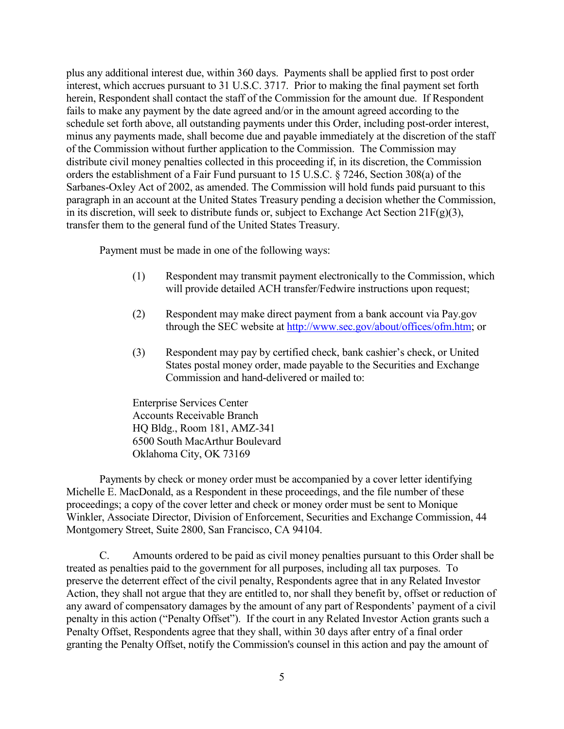plus any additional interest due, within 360 days. Payments shall be applied first to post order interest, which accrues pursuant to 31 U.S.C. 3717. Prior to making the final payment set forth herein, Respondent shall contact the staff of the Commission for the amount due. If Respondent fails to make any payment by the date agreed and/or in the amount agreed according to the schedule set forth above, all outstanding payments under this Order, including post-order interest, minus any payments made, shall become due and payable immediately at the discretion of the staff of the Commission without further application to the Commission. The Commission may distribute civil money penalties collected in this proceeding if, in its discretion, the Commission orders the establishment of a Fair Fund pursuant to 15 U.S.C. § 7246, Section 308(a) of the Sarbanes-Oxley Act of 2002, as amended. The Commission will hold funds paid pursuant to this paragraph in an account at the United States Treasury pending a decision whether the Commission, in its discretion, will seek to distribute funds or, subject to Exchange Act Section  $21F(g)(3)$ , transfer them to the general fund of the United States Treasury.

Payment must be made in one of the following ways:

- (1) Respondent may transmit payment electronically to the Commission, which will provide detailed ACH transfer/Fedwire instructions upon request;
- (2) Respondent may make direct payment from a bank account via Pay.gov through the SEC website at [http://www.sec.gov/about/offices/ofm.htm;](http://www.sec.gov/about/offices/ofm.htm) or
- (3) Respondent may pay by certified check, bank cashier's check, or United States postal money order, made payable to the Securities and Exchange Commission and hand-delivered or mailed to:

Enterprise Services Center Accounts Receivable Branch HQ Bldg., Room 181, AMZ-341 6500 South MacArthur Boulevard Oklahoma City, OK 73169

Payments by check or money order must be accompanied by a cover letter identifying Michelle E. MacDonald, as a Respondent in these proceedings, and the file number of these proceedings; a copy of the cover letter and check or money order must be sent to Monique Winkler, Associate Director, Division of Enforcement, Securities and Exchange Commission, 44 Montgomery Street, Suite 2800, San Francisco, CA 94104.

C. Amounts ordered to be paid as civil money penalties pursuant to this Order shall be treated as penalties paid to the government for all purposes, including all tax purposes. To preserve the deterrent effect of the civil penalty, Respondents agree that in any Related Investor Action, they shall not argue that they are entitled to, nor shall they benefit by, offset or reduction of any award of compensatory damages by the amount of any part of Respondents' payment of a civil penalty in this action ("Penalty Offset"). If the court in any Related Investor Action grants such a Penalty Offset, Respondents agree that they shall, within 30 days after entry of a final order granting the Penalty Offset, notify the Commission's counsel in this action and pay the amount of